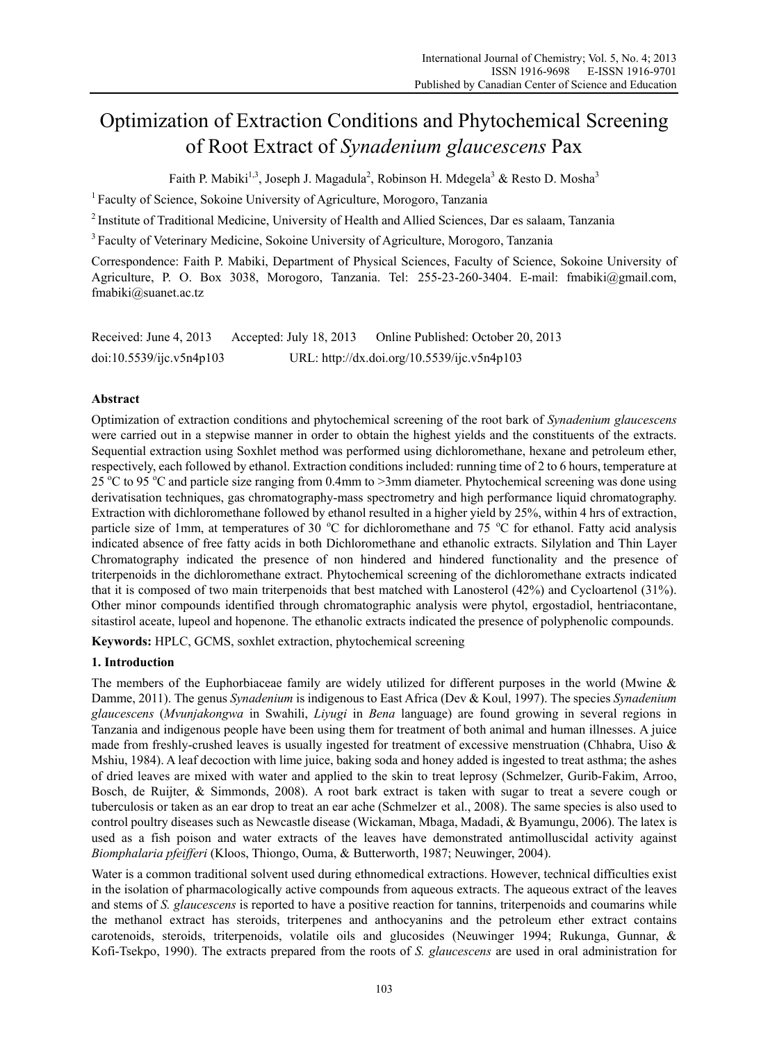# Optimization of Extraction Conditions and Phytochemical Screening of Root Extract of *Synadenium glaucescens* Pax

Faith P. Mabiki<sup>1,3</sup>, Joseph J. Magadula<sup>2</sup>, Robinson H. Mdegela<sup>3</sup> & Resto D. Mosha<sup>3</sup>

<sup>1</sup> Faculty of Science, Sokoine University of Agriculture, Morogoro, Tanzania

2 Institute of Traditional Medicine, University of Health and Allied Sciences, Dar es salaam, Tanzania

<sup>3</sup> Faculty of Veterinary Medicine, Sokoine University of Agriculture, Morogoro, Tanzania

Correspondence: Faith P. Mabiki, Department of Physical Sciences, Faculty of Science, Sokoine University of Agriculture, P. O. Box 3038, Morogoro, Tanzania. Tel: 255-23-260-3404. E-mail: fmabiki@gmail.com, fmabiki@suanet.ac.tz

| Received: June 4, 2013   | Accepted: July 18, 2013 | Online Published: October 20, 2013          |
|--------------------------|-------------------------|---------------------------------------------|
| doi:10.5539/ijc.v5n4p103 |                         | URL: http://dx.doi.org/10.5539/ijc.v5n4p103 |

# **Abstract**

Optimization of extraction conditions and phytochemical screening of the root bark of *Synadenium glaucescens* were carried out in a stepwise manner in order to obtain the highest yields and the constituents of the extracts. Sequential extraction using Soxhlet method was performed using dichloromethane, hexane and petroleum ether, respectively, each followed by ethanol. Extraction conditions included: running time of 2 to 6 hours, temperature at 25 °C to 95 °C and particle size ranging from 0.4mm to >3mm diameter. Phytochemical screening was done using derivatisation techniques, gas chromatography-mass spectrometry and high performance liquid chromatography. Extraction with dichloromethane followed by ethanol resulted in a higher yield by 25%, within 4 hrs of extraction, particle size of 1mm, at temperatures of 30 °C for dichloromethane and 75 °C for ethanol. Fatty acid analysis indicated absence of free fatty acids in both Dichloromethane and ethanolic extracts. Silylation and Thin Layer Chromatography indicated the presence of non hindered and hindered functionality and the presence of triterpenoids in the dichloromethane extract. Phytochemical screening of the dichloromethane extracts indicated that it is composed of two main triterpenoids that best matched with Lanosterol (42%) and Cycloartenol (31%). Other minor compounds identified through chromatographic analysis were phytol, ergostadiol, hentriacontane, sitastirol aceate, lupeol and hopenone. The ethanolic extracts indicated the presence of polyphenolic compounds.

**Keywords:** HPLC, GCMS, soxhlet extraction, phytochemical screening

# **1. Introduction**

The members of the Euphorbiaceae family are widely utilized for different purposes in the world (Mwine & Damme, 2011). The genus *Synadenium* is indigenous to East Africa (Dev & Koul, 1997). The species *Synadenium glaucescens* (*Mvunjakongwa* in Swahili, *Liyugi* in *Bena* language) are found growing in several regions in Tanzania and indigenous people have been using them for treatment of both animal and human illnesses. A juice made from freshly-crushed leaves is usually ingested for treatment of excessive menstruation (Chhabra, Uiso & Mshiu, 1984). A leaf decoction with lime juice, baking soda and honey added is ingested to treat asthma; the ashes of dried leaves are mixed with water and applied to the skin to treat leprosy (Schmelzer, Gurib-Fakim, Arroo, Bosch, de Ruijter, & Simmonds, 2008). A root bark extract is taken with sugar to treat a severe cough or tuberculosis or taken as an ear drop to treat an ear ache (Schmelzer et al., 2008). The same species is also used to control poultry diseases such as Newcastle disease (Wickaman, Mbaga, Madadi, & Byamungu, 2006). The latex is used as a fish poison and water extracts of the leaves have demonstrated antimolluscidal activity against *Biomphalaria pfeifferi* (Kloos, Thiongo, Ouma, & Butterworth, 1987; Neuwinger, 2004).

Water is a common traditional solvent used during ethnomedical extractions. However, technical difficulties exist in the isolation of pharmacologically active compounds from aqueous extracts. The aqueous extract of the leaves and stems of *S. glaucescens* is reported to have a positive reaction for tannins, triterpenoids and coumarins while the methanol extract has steroids, triterpenes and anthocyanins and the petroleum ether extract contains carotenoids, steroids, triterpenoids, volatile oils and glucosides (Neuwinger 1994; Rukunga, Gunnar, & Kofi-Tsekpo, 1990). The extracts prepared from the roots of *S. glaucescens* are used in oral administration for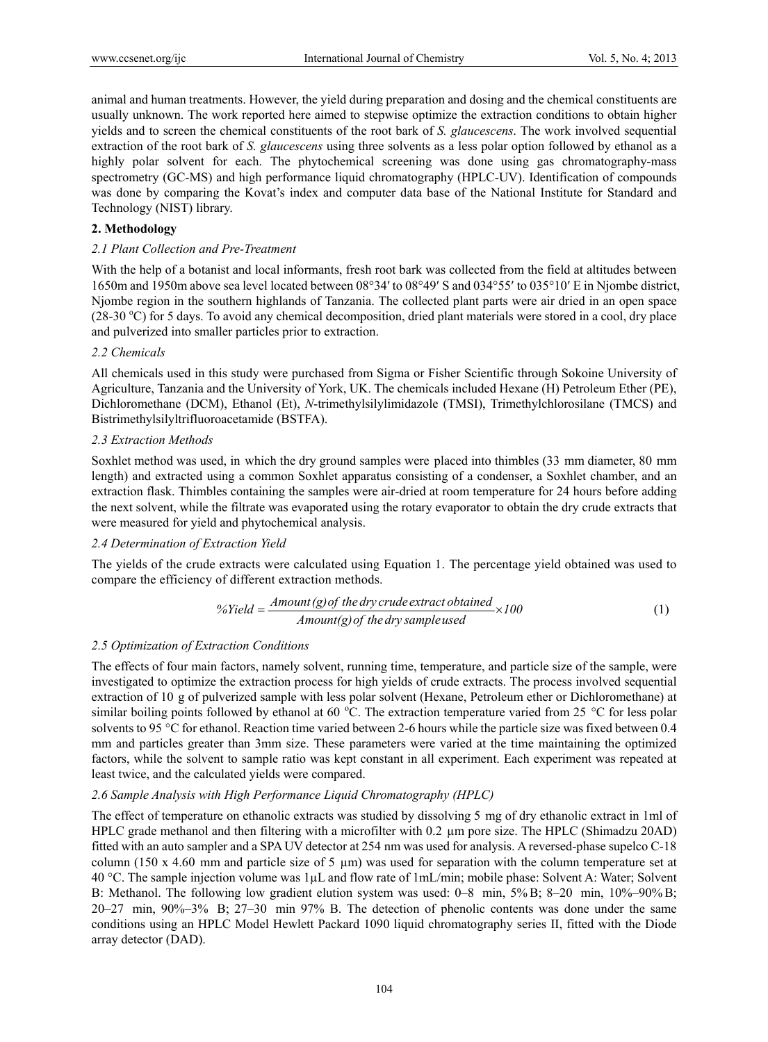animal and human treatments. However, the yield during preparation and dosing and the chemical constituents are usually unknown. The work reported here aimed to stepwise optimize the extraction conditions to obtain higher yields and to screen the chemical constituents of the root bark of *S. glaucescens*. The work involved sequential extraction of the root bark of *S. glaucescens* using three solvents as a less polar option followed by ethanol as a highly polar solvent for each. The phytochemical screening was done using gas chromatography-mass spectrometry (GC-MS) and high performance liquid chromatography (HPLC-UV). Identification of compounds was done by comparing the Kovat's index and computer data base of the National Institute for Standard and Technology (NIST) library.

# **2. Methodology**

#### *2.1 Plant Collection and Pre-Treatment*

With the help of a botanist and local informants, fresh root bark was collected from the field at altitudes between 1650m and 1950m above sea level located between 08°34′ to 08°49′ S and 034°55′ to 035°10′ E in Njombe district, Njombe region in the southern highlands of Tanzania. The collected plant parts were air dried in an open space (28-30 °C) for 5 days. To avoid any chemical decomposition, dried plant materials were stored in a cool, dry place and pulverized into smaller particles prior to extraction.

#### *2.2 Chemicals*

All chemicals used in this study were purchased from Sigma or Fisher Scientific through Sokoine University of Agriculture, Tanzania and the University of York, UK. The chemicals included Hexane (H) Petroleum Ether (PE), Dichloromethane (DCM), Ethanol (Et), *N*-trimethylsilylimidazole (TMSI), Trimethylchlorosilane (TMCS) and Bistrimethylsilyltrifluoroacetamide (BSTFA).

# *2.3 Extraction Methods*

Soxhlet method was used, in which the dry ground samples were placed into thimbles (33 mm diameter, 80 mm length) and extracted using a common Soxhlet apparatus consisting of a condenser, a Soxhlet chamber, and an extraction flask. Thimbles containing the samples were air-dried at room temperature for 24 hours before adding the next solvent, while the filtrate was evaporated using the rotary evaporator to obtain the dry crude extracts that were measured for yield and phytochemical analysis.

# *2.4 Determination of Extraction Yield*

The yields of the crude extracts were calculated using Equation 1. The percentage yield obtained was used to compare the efficiency of different extraction methods.

$$
\% Yield = \frac{Amount(g) of the dry crude extract obtained}{Amount(g) of the dry sample used} \times 100
$$
 (1)

#### *2.5 Optimization of Extraction Conditions*

The effects of four main factors, namely solvent, running time, temperature, and particle size of the sample, were investigated to optimize the extraction process for high yields of crude extracts. The process involved sequential extraction of 10 g of pulverized sample with less polar solvent (Hexane, Petroleum ether or Dichloromethane) at similar boiling points followed by ethanol at 60  $^{\circ}$ C. The extraction temperature varied from 25  $^{\circ}$ C for less polar solvents to 95 °C for ethanol. Reaction time varied between 2-6 hours while the particle size was fixed between 0.4 mm and particles greater than 3mm size. These parameters were varied at the time maintaining the optimized factors, while the solvent to sample ratio was kept constant in all experiment. Each experiment was repeated at least twice, and the calculated yields were compared.

# *2.6 Sample Analysis with High Performance Liquid Chromatography (HPLC)*

The effect of temperature on ethanolic extracts was studied by dissolving 5 mg of dry ethanolic extract in 1ml of HPLC grade methanol and then filtering with a microfilter with 0.2 µm pore size. The HPLC (Shimadzu 20AD) fitted with an auto sampler and a SPA UV detector at 254 nm was used for analysis. A reversed-phase supelco C-18 column (150 x 4.60 mm and particle size of 5  $\mu$ m) was used for separation with the column temperature set at 40 °C. The sample injection volume was 1µL and flow rate of 1mL/min; mobile phase: Solvent A: Water; Solvent B: Methanol. The following low gradient elution system was used: 0–8 min, 5% B; 8–20 min, 10%–90% B; 20–27Ԝ min, 90%–3%Ԝ B; 27–30 min 97% B. The detection of phenolic contents was done under the same conditions using an HPLC Model Hewlett Packard 1090 liquid chromatography series II, fitted with the Diode array detector (DAD).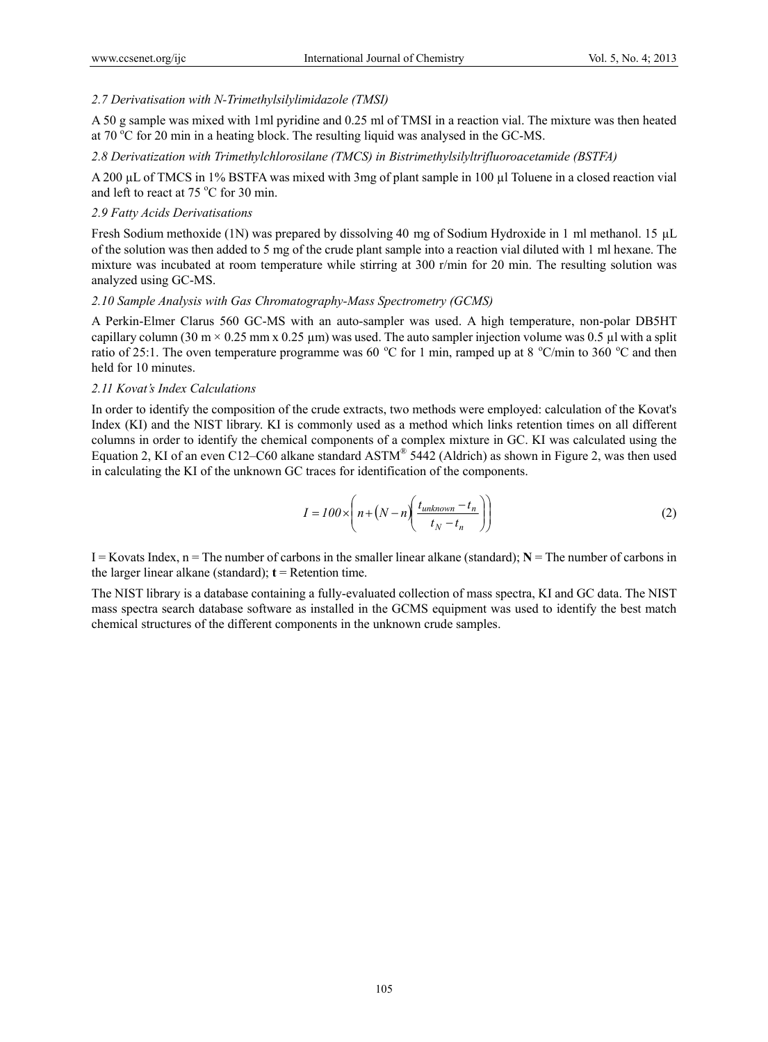# *2.7 Derivatisation with N-Trimethylsilylimidazole (TMSI)*

A 50 g sample was mixed with 1ml pyridine and 0.25 ml of TMSI in a reaction vial. The mixture was then heated at  $70\,^{\circ}\text{C}$  for 20 min in a heating block. The resulting liquid was analysed in the GC-MS.

*2.8 Derivatization with Trimethylchlorosilane (TMCS) in Bistrimethylsilyltrifluoroacetamide (BSTFA)* 

A 200 µL of TMCS in 1% BSTFA was mixed with 3mg of plant sample in 100 µl Toluene in a closed reaction vial and left to react at  $75^{\circ}$ C for 30 min.

# *2.9 Fatty Acids Derivatisations*

Fresh Sodium methoxide (1N) was prepared by dissolving 40 mg of Sodium Hydroxide in 1 ml methanol. 15 µL of the solution was then added to 5 mg of the crude plant sample into a reaction vial diluted with 1 ml hexane. The mixture was incubated at room temperature while stirring at 300 r/min for 20 min. The resulting solution was analyzed using GC-MS.

#### *2.10 Sample Analysis with Gas Chromatography-Mass Spectrometry (GCMS)*

A Perkin-Elmer Clarus 560 GC-MS with an auto-sampler was used. A high temperature, non-polar DB5HT capillary column (30 m  $\times$  0.25 mm x 0.25 µm) was used. The auto sampler injection volume was 0.5 µl with a split ratio of 25:1. The oven temperature programme was 60 °C for 1 min, ramped up at 8 °C/min to 360 °C and then held for 10 minutes.

#### *2.11 Kovat's Index Calculations*

In order to identify the composition of the crude extracts, two methods were employed: calculation of the Kovat's Index (KI) and the NIST library. KI is commonly used as a method which links retention times on all different columns in order to identify the chemical components of a complex mixture in GC. KI was calculated using the Equation 2, KI of an even C12–C60 alkane standard ASTM® 5442 (Aldrich) as shown in Figure 2, was then used in calculating the KI of the unknown GC traces for identification of the components.

$$
I = 100 \times \left( n + \left( N - n \right) \left( \frac{t_{unknown} - t_n}{t_N - t_n} \right) \right) \tag{2}
$$

 $I = Kovats Index, n = The number of carbons in the smaller linear alkane (standard);  $N = The number of carbons in the smaller linear alkane (standard).$$ the larger linear alkane (standard);  $t =$  Retention time.

The NIST library is a database containing a fully-evaluated collection of mass spectra, KI and GC data. The NIST mass spectra search database software as installed in the GCMS equipment was used to identify the best match chemical structures of the different components in the unknown crude samples.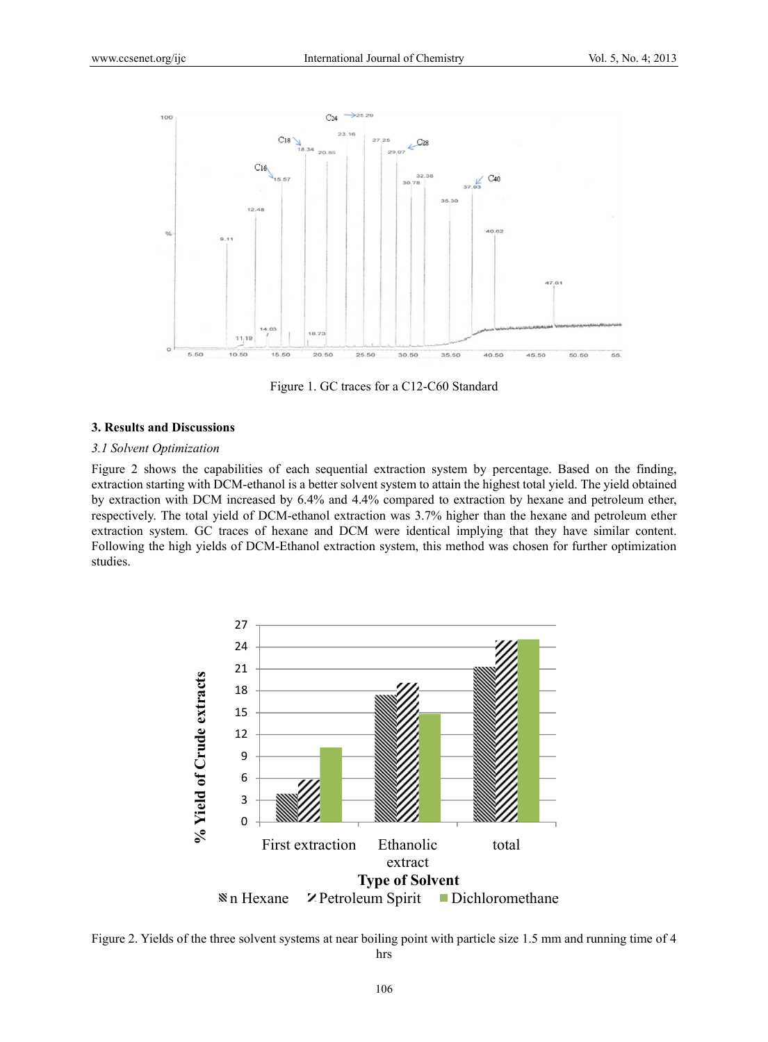

Figure 1. GC traces for a C12-C60 Standard

#### **3. Results and Discussions**

#### *3.1 Solvent Optimization*

Figure 2 shows the capabilities of each sequential extraction system by percentage. Based on the finding, extraction starting with DCM-ethanol is a better solvent system to attain the highest total yield. The yield obtained by extraction with DCM increased by 6.4% and 4.4% compared to extraction by hexane and petroleum ether, respectively. The total yield of DCM-ethanol extraction was 3.7% higher than the hexane and petroleum ether extraction system. GC traces of hexane and DCM were identical implying that they have similar content. Following the high yields of DCM-Ethanol extraction system, this method was chosen for further optimization studies.



Figure 2. Yields of the three solvent systems at near boiling point with particle size 1.5 mm and running time of 4 hrs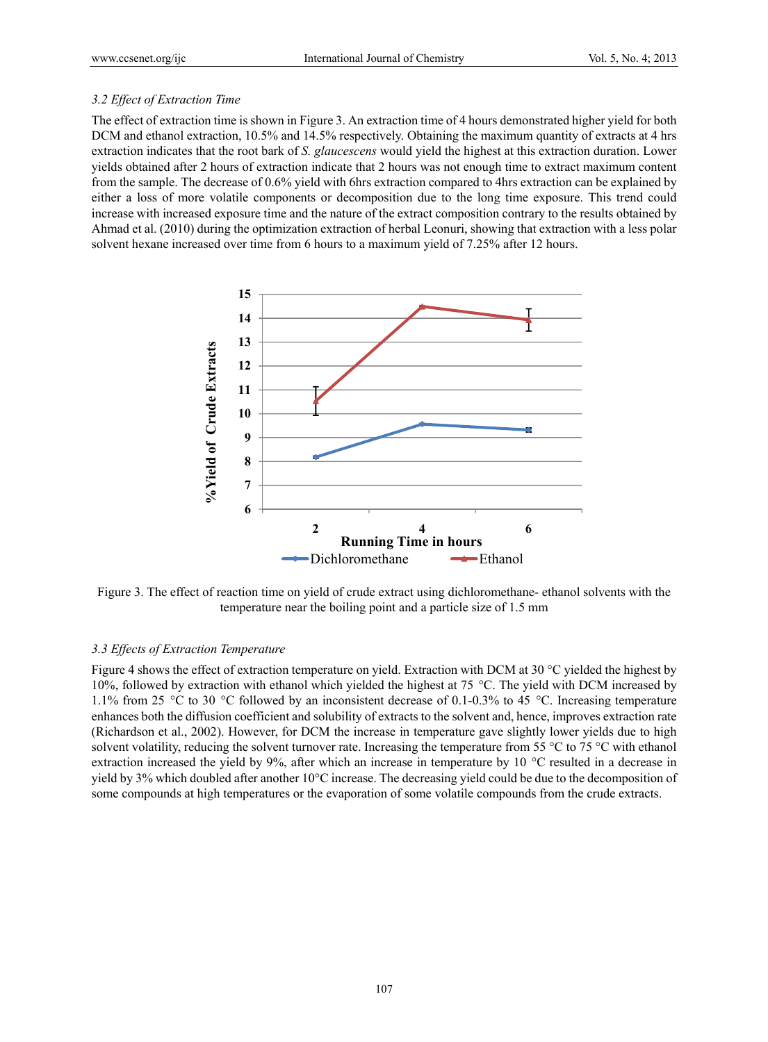# *3.2 Effect of Extraction Time*

The effect of extraction time is shown in Figure 3. An extraction time of 4 hours demonstrated higher yield for both DCM and ethanol extraction, 10.5% and 14.5% respectively. Obtaining the maximum quantity of extracts at 4 hrs extraction indicates that the root bark of *S. glaucescens* would yield the highest at this extraction duration. Lower yields obtained after 2 hours of extraction indicate that 2 hours was not enough time to extract maximum content from the sample. The decrease of 0.6% yield with 6hrs extraction compared to 4hrs extraction can be explained by either a loss of more volatile components or decomposition due to the long time exposure. This trend could increase with increased exposure time and the nature of the extract composition contrary to the results obtained by Ahmad et al. (2010) during the optimization extraction of herbal Leonuri, showing that extraction with a less polar solvent hexane increased over time from 6 hours to a maximum yield of 7.25% after 12 hours.



Figure 3. The effect of reaction time on yield of crude extract using dichloromethane- ethanol solvents with the temperature near the boiling point and a particle size of 1.5 mm

# *3.3 Effects of Extraction Temperature*

Figure 4 shows the effect of extraction temperature on yield. Extraction with DCM at 30 °C yielded the highest by 10%, followed by extraction with ethanol which yielded the highest at 75 °C. The yield with DCM increased by 1.1% from 25 °C to 30 °C followed by an inconsistent decrease of 0.1-0.3% to 45 °C. Increasing temperature enhances both the diffusion coefficient and solubility of extracts to the solvent and, hence, improves extraction rate (Richardson et al., 2002). However, for DCM the increase in temperature gave slightly lower yields due to high solvent volatility, reducing the solvent turnover rate. Increasing the temperature from 55 °C to 75 °C with ethanol extraction increased the yield by 9%, after which an increase in temperature by 10 °C resulted in a decrease in yield by 3% which doubled after another 10°C increase. The decreasing yield could be due to the decomposition of some compounds at high temperatures or the evaporation of some volatile compounds from the crude extracts.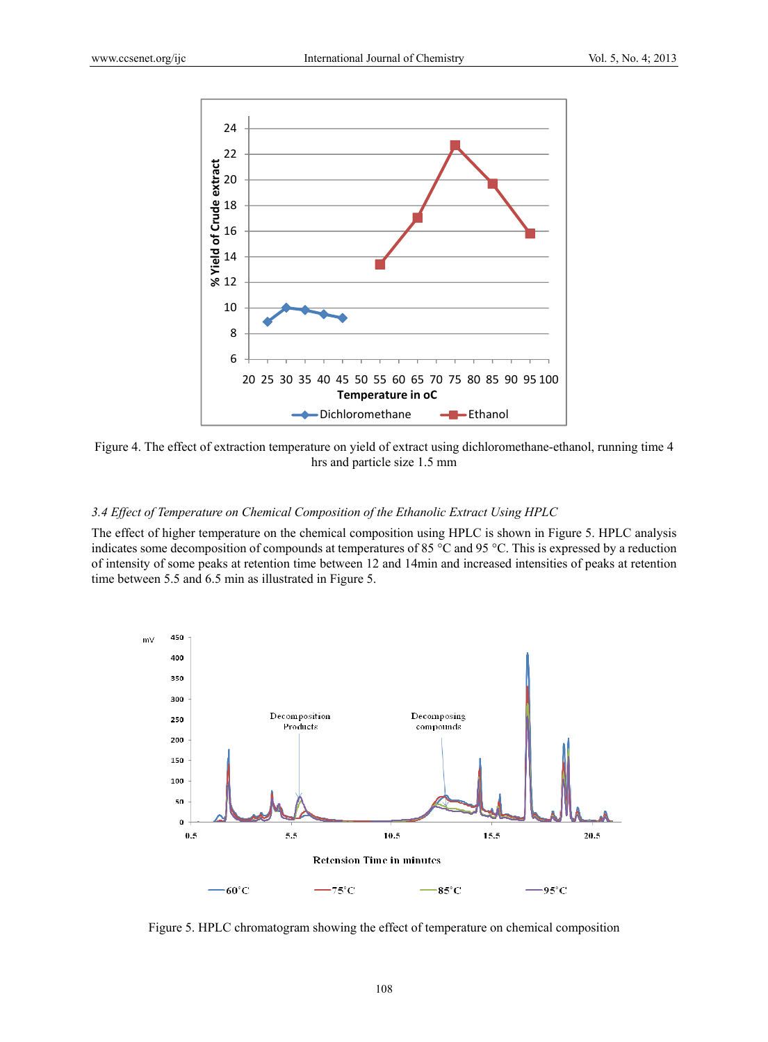

Figure 4. The effect of extraction temperature on yield of extract using dichloromethane-ethanol, running time 4 hrs and particle size 1.5 mm

# *3.4 Effect of Temperature on Chemical Composition of the Ethanolic Extract Using HPLC*

The effect of higher temperature on the chemical composition using HPLC is shown in Figure 5. HPLC analysis indicates some decomposition of compounds at temperatures of 85 °C and 95 °C. This is expressed by a reduction of intensity of some peaks at retention time between 12 and 14min and increased intensities of peaks at retention time between 5.5 and 6.5 min as illustrated in Figure 5.



Figure 5. HPLC chromatogram showing the effect of temperature on chemical composition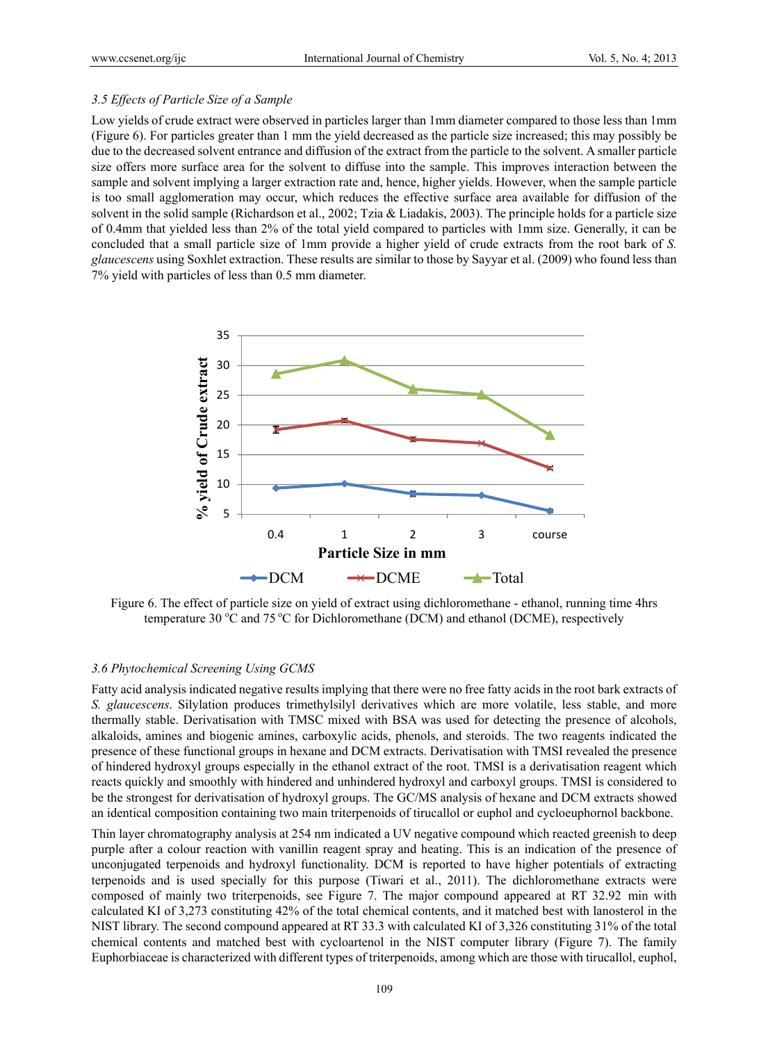### *3.5 Effects of Particle Size of a Sample*

Low yields of crude extract were observed in particles larger than 1mm diameter compared to those less than 1mm (Figure 6). For particles greater than 1 mm the yield decreased as the particle size increased; this may possibly be due to the decreased solvent entrance and diffusion of the extract from the particle to the solvent. A smaller particle size offers more surface area for the solvent to diffuse into the sample. This improves interaction between the sample and solvent implying a larger extraction rate and, hence, higher yields. However, when the sample particle is too small agglomeration may occur, which reduces the effective surface area available for diffusion of the solvent in the solid sample (Richardson et al., 2002; Tzia & Liadakis, 2003). The principle holds for a particle size of 0.4mm that yielded less than 2% of the total yield compared to particles with 1mm size. Generally, it can be concluded that a small particle size of 1mm provide a higher yield of crude extracts from the root bark of *S. glaucescens* using Soxhlet extraction. These results are similar to those by Sayyar et al. (2009) who found less than 7% yield with particles of less than 0.5 mm diameter.



Figure 6. The effect of particle size on yield of extract using dichloromethane - ethanol, running time 4hrs temperature 30  $\rm{^{\circ}C}$  and 75  $\rm{^{\circ}C}$  for Dichloromethane (DCM) and ethanol (DCME), respectively

# *3.6 Phytochemical Screening Using GCMS*

Fatty acid analysis indicated negative results implying that there were no free fatty acids in the root bark extracts of *S. glaucescens*. Silylation produces trimethylsilyl derivatives which are more volatile, less stable, and more thermally stable. Derivatisation with TMSC mixed with BSA was used for detecting the presence of alcohols, alkaloids, amines and biogenic amines, carboxylic acids, phenols, and steroids. The two reagents indicated the presence of these functional groups in hexane and DCM extracts. Derivatisation with TMSI revealed the presence of hindered hydroxyl groups especially in the ethanol extract of the root. TMSI is a derivatisation reagent which reacts quickly and smoothly with hindered and unhindered hydroxyl and carboxyl groups. TMSI is considered to be the strongest for derivatisation of hydroxyl groups. The GC/MS analysis of hexane and DCM extracts showed an identical composition containing two main triterpenoids of tirucallol or euphol and cycloeuphornol backbone.

Thin layer chromatography analysis at 254 nm indicated a UV negative compound which reacted greenish to deep purple after a colour reaction with vanillin reagent spray and heating. This is an indication of the presence of unconjugated terpenoids and hydroxyl functionality. DCM is reported to have higher potentials of extracting terpenoids and is used specially for this purpose (Tiwari et al., 2011). The dichloromethane extracts were composed of mainly two triterpenoids, see Figure 7. The major compound appeared at RT 32.92 min with calculated KI of 3,273 constituting 42% of the total chemical contents, and it matched best with lanosterol in the NIST library. The second compound appeared at RT 33.3 with calculated KI of 3,326 constituting 31% of the total chemical contents and matched best with cycloartenol in the NIST computer library (Figure 7). The family Euphorbiaceae is characterized with different types of triterpenoids, among which are those with tirucallol, euphol,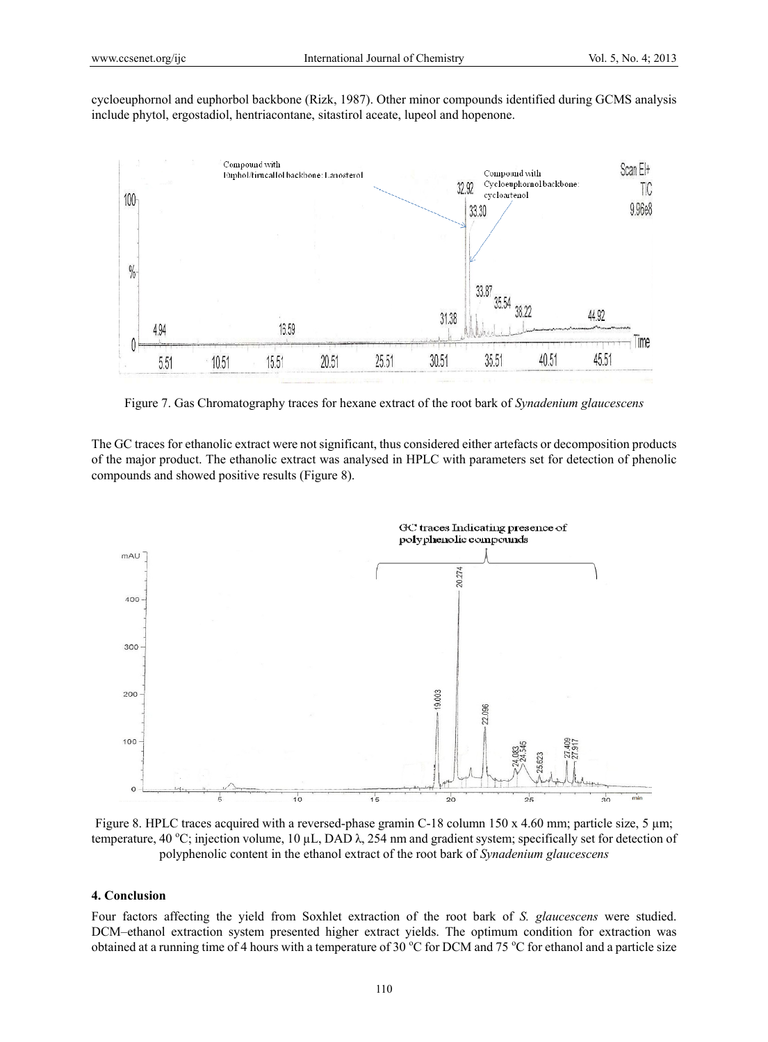cycloeuphornol and euphorbol backbone (Rizk, 1987). Other minor compounds identified during GCMS analysis include phytol, ergostadiol, hentriacontane, sitastirol aceate, lupeol and hopenone.



Figure 7. Gas Chromatography traces for hexane extract of the root bark of *Synadenium glaucescens* 

The GC traces for ethanolic extract were not significant, thus considered either artefacts or decomposition products of the major product. The ethanolic extract was analysed in HPLC with parameters set for detection of phenolic compounds and showed positive results (Figure 8).



Figure 8. HPLC traces acquired with a reversed-phase gramin C-18 column 150 x 4.60 mm; particle size, 5  $\mu$ m; temperature, 40 °C; injection volume, 10  $\mu$ L, DAD  $\lambda$ , 254 nm and gradient system; specifically set for detection of polyphenolic content in the ethanol extract of the root bark of *Synadenium glaucescens* 

#### **4. Conclusion**

Four factors affecting the yield from Soxhlet extraction of the root bark of *S. glaucescens* were studied. DCM–ethanol extraction system presented higher extract yields. The optimum condition for extraction was obtained at a running time of 4 hours with a temperature of 30  $\degree$ C for DCM and 75  $\degree$ C for ethanol and a particle size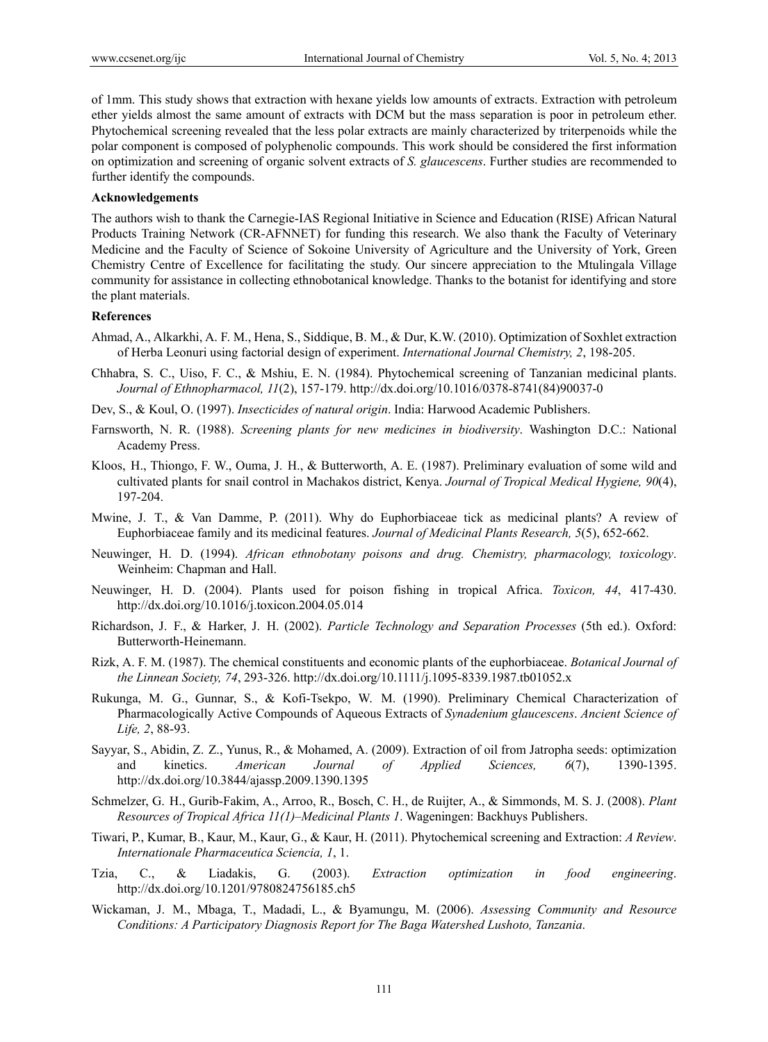of 1mm. This study shows that extraction with hexane yields low amounts of extracts. Extraction with petroleum ether yields almost the same amount of extracts with DCM but the mass separation is poor in petroleum ether. Phytochemical screening revealed that the less polar extracts are mainly characterized by triterpenoids while the polar component is composed of polyphenolic compounds. This work should be considered the first information on optimization and screening of organic solvent extracts of *S. glaucescens*. Further studies are recommended to further identify the compounds.

#### **Acknowledgements**

The authors wish to thank the Carnegie-IAS Regional Initiative in Science and Education (RISE) African Natural Products Training Network (CR-AFNNET) for funding this research. We also thank the Faculty of Veterinary Medicine and the Faculty of Science of Sokoine University of Agriculture and the University of York, Green Chemistry Centre of Excellence for facilitating the study. Our sincere appreciation to the Mtulingala Village community for assistance in collecting ethnobotanical knowledge. Thanks to the botanist for identifying and store the plant materials.

# **References**

- Ahmad, A., Alkarkhi, A. F. M., Hena, S., Siddique, B. M., & Dur, K.W. (2010). Optimization of Soxhlet extraction of Herba Leonuri using factorial design of experiment. *International Journal Chemistry, 2*, 198-205.
- Chhabra, S. C., Uiso, F. C., & Mshiu, E. N. (1984). Phytochemical screening of Tanzanian medicinal plants. *Journal of Ethnopharmacol, 11*(2), 157-179. http://dx.doi.org/10.1016/0378-8741(84)90037-0
- Dev, S., & Koul, O. (1997). *Insecticides of natural origin*. India: Harwood Academic Publishers.
- Farnsworth, N. R. (1988). *Screening plants for new medicines in biodiversity*. Washington D.C.: National Academy Press.
- Kloos, H., Thiongo, F. W., Ouma, J. H., & Butterworth, A. E. (1987). Preliminary evaluation of some wild and cultivated plants for snail control in Machakos district, Kenya. *Journal of Tropical Medical Hygiene, 90*(4), 197-204.
- Mwine, J. T., & Van Damme, P. (2011). Why do Euphorbiaceae tick as medicinal plants? A review of Euphorbiaceae family and its medicinal features. *Journal of Medicinal Plants Research, 5*(5), 652-662.
- Neuwinger, H. D. (1994). *African ethnobotany poisons and drug. Chemistry, pharmacology, toxicology*. Weinheim: Chapman and Hall.
- Neuwinger, H. D. (2004). Plants used for poison fishing in tropical Africa. *Toxicon, 44*, 417-430. http://dx.doi.org/10.1016/j.toxicon.2004.05.014
- Richardson, J. F., & Harker, J. H. (2002). *Particle Technology and Separation Processes* (5th ed.). Oxford: Butterworth-Heinemann.
- Rizk, A. F. M. (1987). The chemical constituents and economic plants of the euphorbiaceae. *Botanical Journal of the Linnean Society, 74*, 293-326. http://dx.doi.org/10.1111/j.1095-8339.1987.tb01052.x
- Rukunga, M. G., Gunnar, S., & Kofi-Tsekpo, W. M. (1990). Preliminary Chemical Characterization of Pharmacologically Active Compounds of Aqueous Extracts of *Synadenium glaucescens*. *Ancient Science of Life, 2*, 88-93.
- Sayyar, S., Abidin, Z. Z., Yunus, R., & Mohamed, A. (2009). Extraction of oil from Jatropha seeds: optimization and kinetics. *American Journal of Applied Sciences, 6*(7), 1390-1395. http://dx.doi.org/10.3844/ajassp.2009.1390.1395
- Schmelzer, G. H., Gurib-Fakim, A., Arroo, R., Bosch, C. H., de Ruijter, A., & Simmonds, M. S. J. (2008). *Plant Resources of Tropical Africa 11(1)–Medicinal Plants 1*. Wageningen: Backhuys Publishers.
- Tiwari, P., Kumar, B., Kaur, M., Kaur, G., & Kaur, H. (2011). Phytochemical screening and Extraction: *A Review*. *Internationale Pharmaceutica Sciencia, 1*, 1.
- Tzia, C., & Liadakis, G. (2003). *Extraction optimization in food engineering*. http://dx.doi.org/10.1201/9780824756185.ch5
- Wickaman, J. M., Mbaga, T., Madadi, L., & Byamungu, M. (2006). *Assessing Community and Resource Conditions: A Participatory Diagnosis Report for The Baga Watershed Lushoto, Tanzania*.